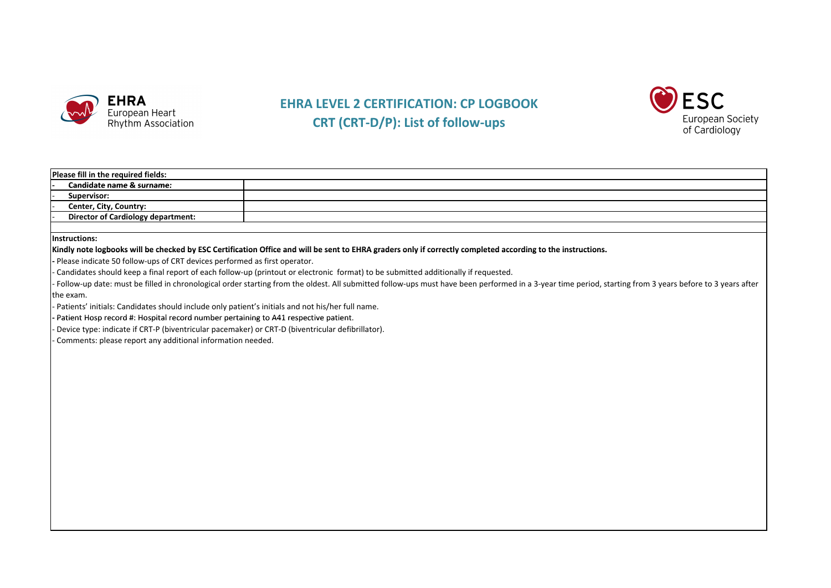

## **EHRA LEVEL 2 CERTIFICATION: CP LOGBOOK CRT (CRT‐D/P): List of follow ‐ups**



| Please fill in the required fields: |                                           |  |  |  |
|-------------------------------------|-------------------------------------------|--|--|--|
|                                     | Candidate name & surname:                 |  |  |  |
|                                     | Supervisor:                               |  |  |  |
|                                     | Center, City, Country:                    |  |  |  |
|                                     | <b>Director of Cardiology department:</b> |  |  |  |
|                                     |                                           |  |  |  |

**Instructions:**

## Kindly note logbooks will be checked by ESC Certification Office and will be sent to EHRA graders only if correctly completed according to the instructions.

**‐** Please indicate 50 follow‐ups of CRT devices performed as first operator.

‐ Candidates should keep <sup>a</sup> final report of each follow‐up (printout or electronic format) to be submitted additionally if requested.

‐ Follow‐up date: must be filled in chronological order starting from the oldest. All submitted follow‐ups must have been performed in <sup>a</sup> 3‐year time period, starting from 3 years before to 3 years after the exam.

‐ Patients' initials: Candidates should include only patient's initials and not his/her full name.

Butient Hosp record #: Hospital record number pertaining to A41 respective patient.

‐ Device type: indicate if CRT‐P (biventricular pacemaker) or CRT‐D (biventricular defibrillator).

‐ Comments: please report any additional information needed.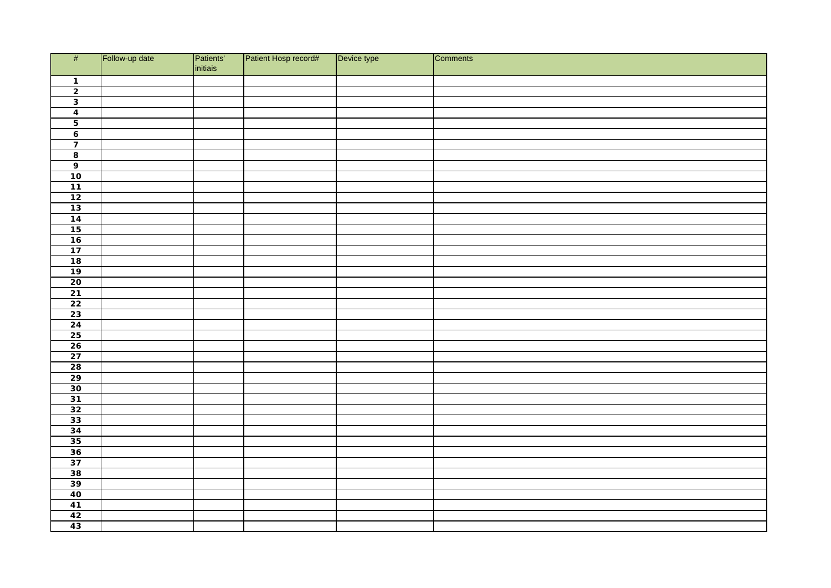| #                                                                                                                                         | Follow-up date | Patients'<br>initiais | Patient Hosp record# | Device type | Comments |
|-------------------------------------------------------------------------------------------------------------------------------------------|----------------|-----------------------|----------------------|-------------|----------|
| $\overline{1}$                                                                                                                            |                |                       |                      |             |          |
| $\overline{2}$                                                                                                                            |                |                       |                      |             |          |
| $\overline{\mathbf{3}}$                                                                                                                   |                |                       |                      |             |          |
|                                                                                                                                           |                |                       |                      |             |          |
| $\frac{4}{5}$                                                                                                                             |                |                       |                      |             |          |
| $\overline{\mathbf{6}}$                                                                                                                   |                |                       |                      |             |          |
| $\overline{7}$                                                                                                                            |                |                       |                      |             |          |
| $\overline{\mathbf{8}}$                                                                                                                   |                |                       |                      |             |          |
| $\overline{9}$                                                                                                                            |                |                       |                      |             |          |
| $\overline{10}$                                                                                                                           |                |                       |                      |             |          |
|                                                                                                                                           |                |                       |                      |             |          |
| $\frac{11}{12}$                                                                                                                           |                |                       |                      |             |          |
|                                                                                                                                           |                |                       |                      |             |          |
|                                                                                                                                           |                |                       |                      |             |          |
|                                                                                                                                           |                |                       |                      |             |          |
|                                                                                                                                           |                |                       |                      |             |          |
|                                                                                                                                           |                |                       |                      |             |          |
|                                                                                                                                           |                |                       |                      |             |          |
| $\begin{array}{r} 13 \\ \hline 14 \\ \hline 15 \\ \hline 16 \\ \hline 17 \\ \hline 18 \\ \hline 19 \\ \hline 20 \end{array}$              |                |                       |                      |             |          |
|                                                                                                                                           |                |                       |                      |             |          |
| $\begin{array}{r} 21 \\ 22 \\ 23 \end{array}$                                                                                             |                |                       |                      |             |          |
|                                                                                                                                           |                |                       |                      |             |          |
|                                                                                                                                           |                |                       |                      |             |          |
|                                                                                                                                           |                |                       |                      |             |          |
|                                                                                                                                           |                |                       |                      |             |          |
| $\begin{array}{ c c c }\n\hline\n24 & 25 \\ \hline\n26 & 27 \\ \hline\n28 & 29 \\ \hline\n30 & 31 \\ \hline\n32 & \\ \hline\n\end{array}$ |                |                       |                      |             |          |
|                                                                                                                                           |                |                       |                      |             |          |
|                                                                                                                                           |                |                       |                      |             |          |
|                                                                                                                                           |                |                       |                      |             |          |
|                                                                                                                                           |                |                       |                      |             |          |
|                                                                                                                                           |                |                       |                      |             |          |
|                                                                                                                                           |                |                       |                      |             |          |
| $\begin{array}{r} \hline 33 \\ 34 \\ \hline 35 \end{array}$                                                                               |                |                       |                      |             |          |
|                                                                                                                                           |                |                       |                      |             |          |
|                                                                                                                                           |                |                       |                      |             |          |
|                                                                                                                                           |                |                       |                      |             |          |
| $\begin{array}{r} 36 \\ 37 \\ 38 \\ \hline 39 \\ \hline 40 \\ \end{array}$                                                                |                |                       |                      |             |          |
|                                                                                                                                           |                |                       |                      |             |          |
|                                                                                                                                           |                |                       |                      |             |          |
|                                                                                                                                           |                |                       |                      |             |          |
| $\frac{41}{42}$                                                                                                                           |                |                       |                      |             |          |
|                                                                                                                                           |                |                       |                      |             |          |
|                                                                                                                                           |                |                       |                      |             |          |